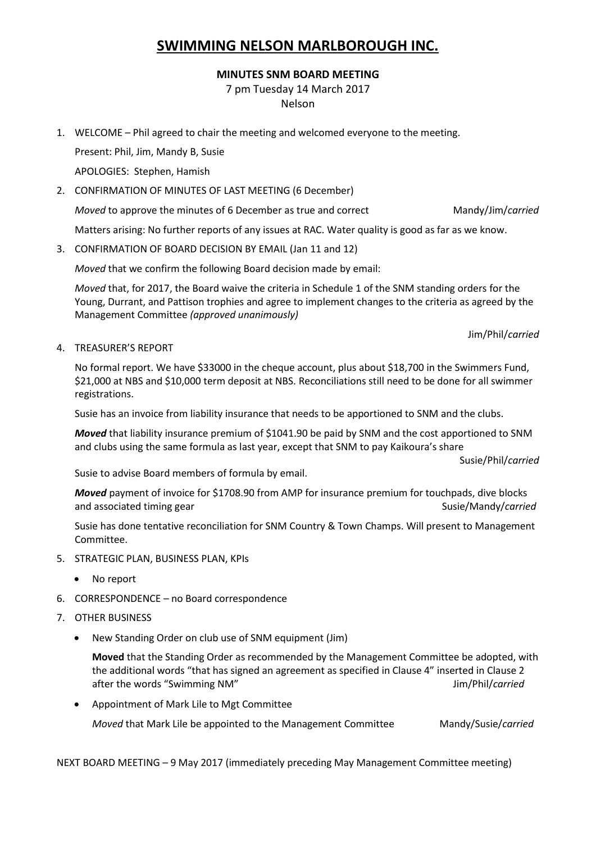## **SWIMMING NELSON MARLBOROUGH INC.**

## **MINUTES SNM BOARD MEETING**

7 pm Tuesday 14 March 2017

Nelson

1. WELCOME – Phil agreed to chair the meeting and welcomed everyone to the meeting.

Present: Phil, Jim, Mandy B, Susie

APOLOGIES: Stephen, Hamish

2. CONFIRMATION OF MINUTES OF LAST MEETING (6 December)

*Moved* to approve the minutes of 6 December as true and correct Mandy/Jim/*carried* 

Matters arising: No further reports of any issues at RAC. Water quality is good as far as we know.

3. CONFIRMATION OF BOARD DECISION BY EMAIL (Jan 11 and 12)

*Moved* that we confirm the following Board decision made by email:

*Moved* that, for 2017, the Board waive the criteria in Schedule 1 of the SNM standing orders for the Young, Durrant, and Pattison trophies and agree to implement changes to the criteria as agreed by the Management Committee *(approved unanimously)*

Jim/Phil/*carried*

4. TREASURER'S REPORT

No formal report. We have \$33000 in the cheque account, plus about \$18,700 in the Swimmers Fund, \$21,000 at NBS and \$10,000 term deposit at NBS. Reconciliations still need to be done for all swimmer registrations.

Susie has an invoice from liability insurance that needs to be apportioned to SNM and the clubs.

*Moved* that liability insurance premium of \$1041.90 be paid by SNM and the cost apportioned to SNM and clubs using the same formula as last year, except that SNM to pay Kaikoura's share

Susie/Phil/*carried*

Susie to advise Board members of formula by email.

*Moved* payment of invoice for \$1708.90 from AMP for insurance premium for touchpads, dive blocks and associated timing gear Susie/Mandy/*carried* Susie/Mandy/*carried* 

Susie has done tentative reconciliation for SNM Country & Town Champs. Will present to Management Committee.

- 5. STRATEGIC PLAN, BUSINESS PLAN, KPIs
	- No report
- 6. CORRESPONDENCE no Board correspondence
- 7. OTHER BUSINESS
	- New Standing Order on club use of SNM equipment (Jim)

**Moved** that the Standing Order as recommended by the Management Committee be adopted, with the additional words "that has signed an agreement as specified in Clause 4" inserted in Clause 2 after the words "Swimming NM" and a state of the words of the words of the M<sup>n</sup>

Appointment of Mark Lile to Mgt Committee

*Moved* that Mark Lile be appointed to the Management Committee Mandy/Susie/*carried* 

NEXT BOARD MEETING – 9 May 2017 (immediately preceding May Management Committee meeting)